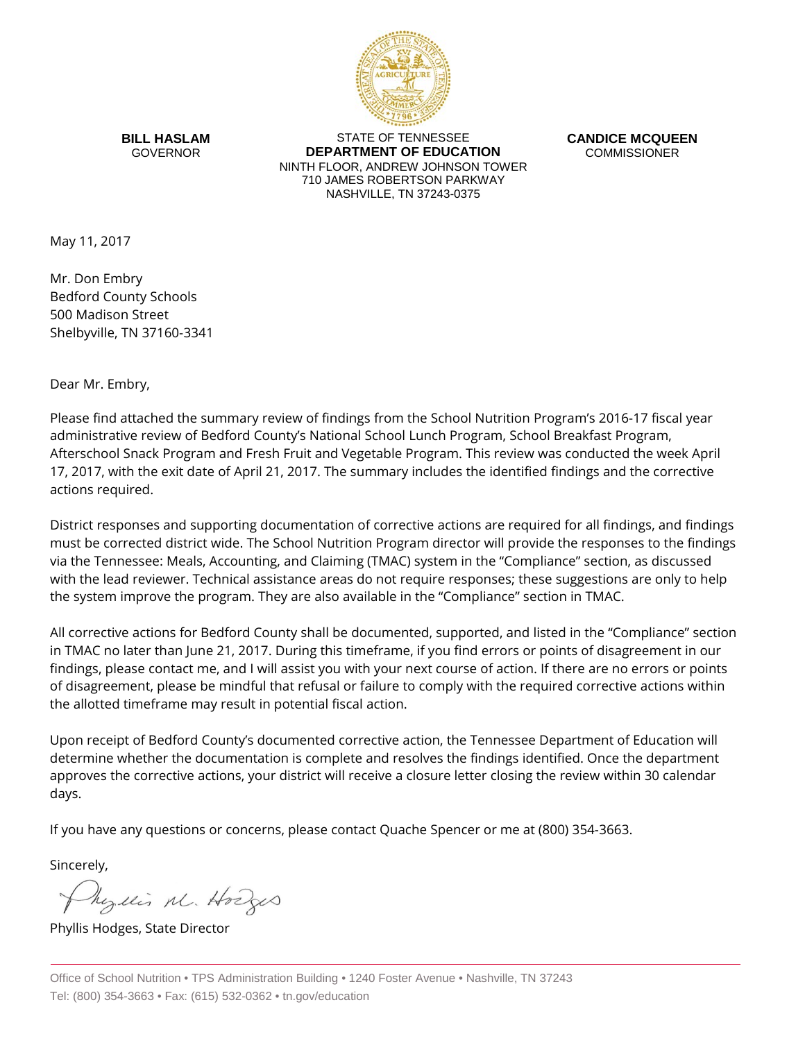

**BILL HASLAM** GOVERNOR

STATE OF TENNESSEE **DEPARTMENT OF EDUCATION** NINTH FLOOR, ANDREW JOHNSON TOWER 710 JAMES ROBERTSON PARKWAY NASHVILLE, TN 37243-0375

**CANDICE MCQUEEN** COMMISSIONER

May 11, 2017

Mr. Don Embry Bedford County Schools 500 Madison Street Shelbyville, TN 37160-3341

Dear Mr. Embry,

Please find attached the summary review of findings from the School Nutrition Program's 2016-17 fiscal year administrative review of Bedford County's National School Lunch Program, School Breakfast Program, Afterschool Snack Program and Fresh Fruit and Vegetable Program. This review was conducted the week April 17, 2017, with the exit date of April 21, 2017. The summary includes the identified findings and the corrective actions required.

District responses and supporting documentation of corrective actions are required for all findings, and findings must be corrected district wide. The School Nutrition Program director will provide the responses to the findings via the Tennessee: Meals, Accounting, and Claiming (TMAC) system in the "Compliance" section, as discussed with the lead reviewer. Technical assistance areas do not require responses; these suggestions are only to help the system improve the program. They are also available in the "Compliance" section in TMAC.

All corrective actions for Bedford County shall be documented, supported, and listed in the "Compliance" section in TMAC no later than June 21, 2017. During this timeframe, if you find errors or points of disagreement in our findings, please contact me, and I will assist you with your next course of action. If there are no errors or points of disagreement, please be mindful that refusal or failure to comply with the required corrective actions within the allotted timeframe may result in potential fiscal action.

Upon receipt of Bedford County's documented corrective action, the Tennessee Department of Education will determine whether the documentation is complete and resolves the findings identified. Once the department approves the corrective actions, your district will receive a closure letter closing the review within 30 calendar days.

If you have any questions or concerns, please contact Quache Spencer or me at (800) 354-3663.

Sincerely,

Myllis M. Hodges

Phyllis Hodges, State Director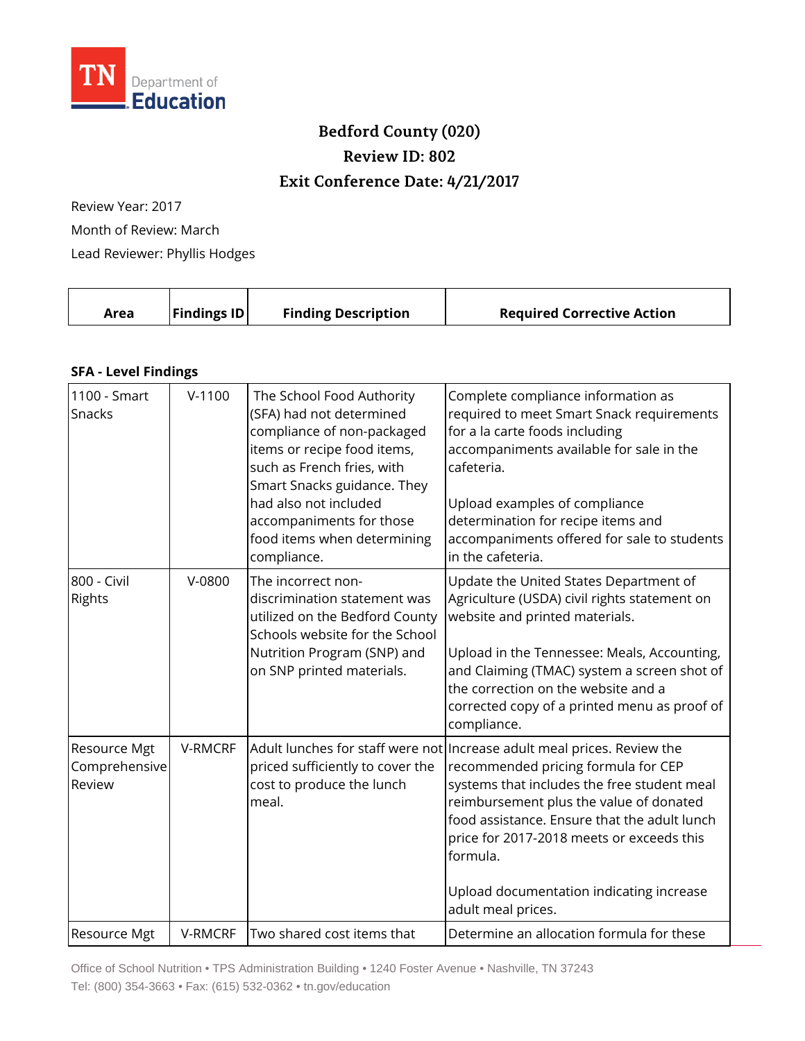

## **Bedford County (020) Review ID: 802 Exit Conference Date: 4/21/2017**

Review Year: 2017 Month of Review: March Lead Reviewer: Phyllis Hodges

| Area | <b>Findings ID</b> | <b>Finding Description</b> | <b>Required Corrective Action</b> |
|------|--------------------|----------------------------|-----------------------------------|
|      |                    |                            |                                   |

## **SFA - Level Findings**

| 1100 - Smart<br>Snacks                  | $V-1100$ | The School Food Authority<br>(SFA) had not determined<br>compliance of non-packaged<br>items or recipe food items,<br>such as French fries, with<br>Smart Snacks guidance. They<br>had also not included<br>accompaniments for those<br>food items when determining<br>compliance. | Complete compliance information as<br>required to meet Smart Snack requirements<br>for a la carte foods including<br>accompaniments available for sale in the<br>cafeteria.<br>Upload examples of compliance<br>determination for recipe items and<br>accompaniments offered for sale to students<br>in the cafeteria.                                                                |
|-----------------------------------------|----------|------------------------------------------------------------------------------------------------------------------------------------------------------------------------------------------------------------------------------------------------------------------------------------|---------------------------------------------------------------------------------------------------------------------------------------------------------------------------------------------------------------------------------------------------------------------------------------------------------------------------------------------------------------------------------------|
| 800 - Civil<br>Rights                   | V-0800   | The incorrect non-<br>discrimination statement was<br>utilized on the Bedford County<br>Schools website for the School<br>Nutrition Program (SNP) and<br>on SNP printed materials.                                                                                                 | Update the United States Department of<br>Agriculture (USDA) civil rights statement on<br>website and printed materials.<br>Upload in the Tennessee: Meals, Accounting,<br>and Claiming (TMAC) system a screen shot of<br>the correction on the website and a<br>corrected copy of a printed menu as proof of<br>compliance.                                                          |
| Resource Mgt<br>Comprehensive<br>Review | V-RMCRF  | priced sufficiently to cover the<br>cost to produce the lunch<br>meal.                                                                                                                                                                                                             | Adult lunches for staff were not   Increase adult meal prices. Review the<br>recommended pricing formula for CEP<br>systems that includes the free student meal<br>reimbursement plus the value of donated<br>food assistance. Ensure that the adult lunch<br>price for 2017-2018 meets or exceeds this<br>formula.<br>Upload documentation indicating increase<br>adult meal prices. |
| Resource Mgt                            | V-RMCRF  | Two shared cost items that                                                                                                                                                                                                                                                         | Determine an allocation formula for these                                                                                                                                                                                                                                                                                                                                             |